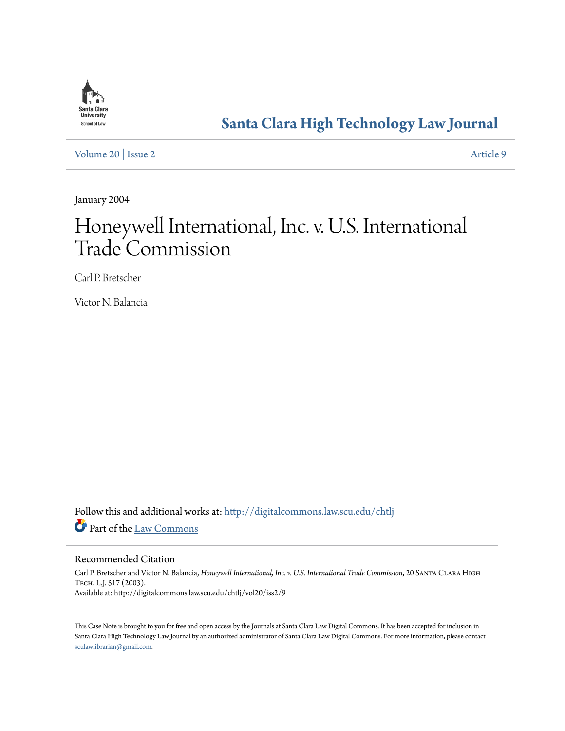

# **[Santa Clara High Technology Law Journal](http://digitalcommons.law.scu.edu/chtlj?utm_source=digitalcommons.law.scu.edu%2Fchtlj%2Fvol20%2Fiss2%2F9&utm_medium=PDF&utm_campaign=PDFCoverPages)**

[Volume 20](http://digitalcommons.law.scu.edu/chtlj/vol20?utm_source=digitalcommons.law.scu.edu%2Fchtlj%2Fvol20%2Fiss2%2F9&utm_medium=PDF&utm_campaign=PDFCoverPages) | [Issue 2](http://digitalcommons.law.scu.edu/chtlj/vol20/iss2?utm_source=digitalcommons.law.scu.edu%2Fchtlj%2Fvol20%2Fiss2%2F9&utm_medium=PDF&utm_campaign=PDFCoverPages) [Article 9](http://digitalcommons.law.scu.edu/chtlj/vol20/iss2/9?utm_source=digitalcommons.law.scu.edu%2Fchtlj%2Fvol20%2Fiss2%2F9&utm_medium=PDF&utm_campaign=PDFCoverPages)

January 2004

# Honeywell International, Inc. v. U.S. International Trade Commission

Carl P. Bretscher

Victor N. Balancia

Follow this and additional works at: [http://digitalcommons.law.scu.edu/chtlj](http://digitalcommons.law.scu.edu/chtlj?utm_source=digitalcommons.law.scu.edu%2Fchtlj%2Fvol20%2Fiss2%2F9&utm_medium=PDF&utm_campaign=PDFCoverPages) Part of the [Law Commons](http://network.bepress.com/hgg/discipline/578?utm_source=digitalcommons.law.scu.edu%2Fchtlj%2Fvol20%2Fiss2%2F9&utm_medium=PDF&utm_campaign=PDFCoverPages)

# Recommended Citation

Carl P. Bretscher and Victor N. Balancia, *Honeywell International, Inc. v. U.S. International Trade Commission*, 20 Santa Clara High Tech. L.J. 517 (2003). Available at: http://digitalcommons.law.scu.edu/chtlj/vol20/iss2/9

This Case Note is brought to you for free and open access by the Journals at Santa Clara Law Digital Commons. It has been accepted for inclusion in Santa Clara High Technology Law Journal by an authorized administrator of Santa Clara Law Digital Commons. For more information, please contact [sculawlibrarian@gmail.com](mailto:sculawlibrarian@gmail.com).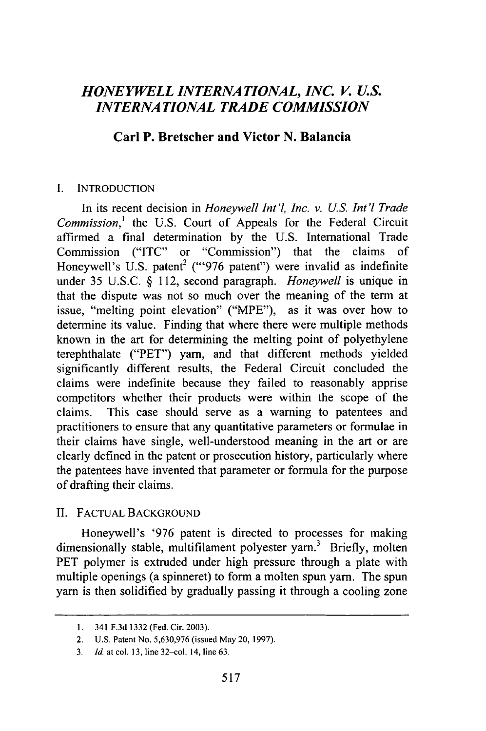# *HONEYWELL INTERNATIONAL, INC. V. U.S. INTERNATIONAL TRADE COMMISSION*

### **Carl P. Bretscher and Victor N. Balancia**

#### **I. INTRODUCTION**

In its recent decision in *Honeywell Int'l, Inc. v. U.S. Int'l Trade Commission,'* the **U.S.** Court of Appeals for the Federal Circuit affirmed a final determination **by** the **U.S.** International Trade Commission **("ITC"** or "Commission") that the claims of Honeywell's U.S. patent<sup>2</sup> ("'976 patent") were invalid as indefinite under **35 U.S.C. §** 112, second paragraph. *Honeywell* is unique in that the dispute was not so much over the meaning of the term at issue, "melting point elevation" ("MPE"), as it was over how to determine its value. Finding that where there were multiple methods known in the art for determining the melting point of polyethylene terephthalate ("PET") yam, and that different methods yielded significantly different results, the Federal Circuit concluded the claims were indefinite because they failed to reasonably apprise competitors whether their products were within the scope of the claims. This case should serve as a warning to patentees and practitioners to ensure that any quantitative parameters or formulae in their claims have single, well-understood meaning in the art or are clearly defined in the patent or prosecution history, particularly where the patentees have invented that parameter or formula for the purpose of drafting their claims.

#### **II. FACTUAL BACKGROUND**

Honeywell's **'976** patent is directed to processes for making dimensionally stable, multifilament polyester yarn.<sup>3</sup> Briefly, molten PET polymer is extruded under high pressure through a plate with multiple openings (a spinneret) to form a molten spun yarn. The spun yarn is then solidified **by** gradually passing it through a cooling zone

**<sup>1.</sup>** 341 **F.3d 1332** (Fed. Cir. **2003).**

<sup>2.</sup> **U.S.** Patent No. **5,630,976** (issued May 20, **1997).**

**<sup>3.</sup>** *Id.* at col. **13,** line 32-col. 14, line **63.**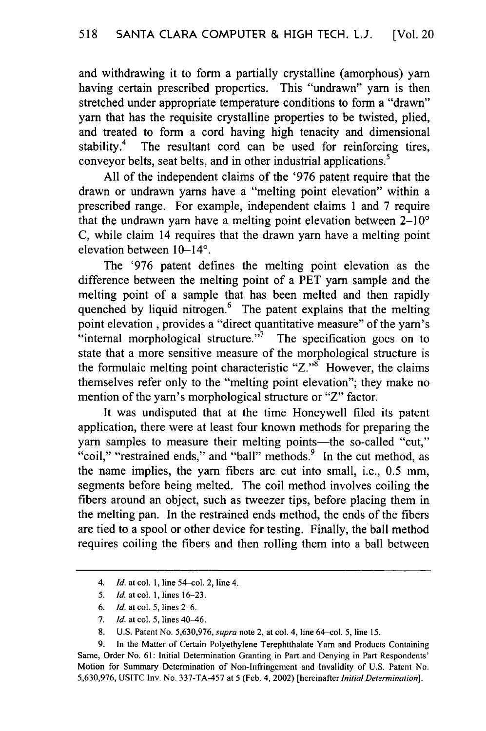and withdrawing it to form a partially crystalline (amorphous) yam having certain prescribed properties. This "undrawn" yam is then stretched under appropriate temperature conditions to form a "drawn" yarn that has the requisite crystalline properties to be twisted, plied, and treated to form a cord having high tenacity and dimensional stability.<sup>4</sup> The resultant cord can be used for reinforcing tires, conveyor belts, seat belts, and in other industrial applications.<sup>5</sup>

All of the independent claims of the '976 patent require that the drawn or undrawn yams have a "melting point elevation" within a prescribed range. For example, independent claims 1 and 7 require that the undrawn yarn have a melting point elevation between  $2-10^{\circ}$ C, while claim 14 requires that the drawn yam have a melting point elevation between  $10-14$ °.

The '976 patent defines the melting point elevation as the difference between the melting point of a PET yam sample and the melting point of a sample that has been melted and then rapidly quenched by liquid nitrogen.<sup>6</sup> The patent explains that the melting point elevation , provides a "direct quantitative measure" of the yam's "internal morphological structure."<sup>7</sup> The specification goes on to state that a more sensitive measure of the morphological structure is the formulaic melting point characteristic " $Z$ ."<sup>8</sup> However, the claims themselves refer only to the "melting point elevation"; they make no mention of the yam's morphological structure or "Z" factor.

It was undisputed that at the time Honeywell filed its patent application, there were at least four known methods for preparing the yarn samples to measure their melting points—the so-called "cut," "coil," "restrained ends," and "ball" methods. 9 In the cut method, as the name implies, the yam fibers are cut into small, i.e., 0.5 mm, segments before being melted. The coil method involves coiling the fibers around an object, such as tweezer tips, before placing them in the melting pan. In the restrained ends method, the ends of the fibers are tied to a spool or other device for testing. Finally, the ball method requires coiling the fibers and then rolling them into a ball between

- 5. *Id.* at col. 1, lines 16-23.
- 6. *Id.* at col. 5, lines **2-6.**
- 7. *Id.* at col. 5, lines 40-46.
- 8. U.S. Patent No. 5,630,976, *supra* note 2, at col. 4, line 64-col. 5, line 15.

*<sup>4.</sup> Id.* at col. 1, line 54-col. 2, line 4.

<sup>9.</sup> In the Matter of Certain Polyethylene Terephtthalate Yam and Products Containing Same, Order No. 61: Initial Determination Granting in Part and Denying in Part Respondents' Motion for Summary Determination of Non-Infringement and Invalidity of U.S. Patent No. 5,630,976, USITC Inv. No. 337-TA-457 at 5 (Feb. 4, 2002) [hereinafter *Initial Determination].*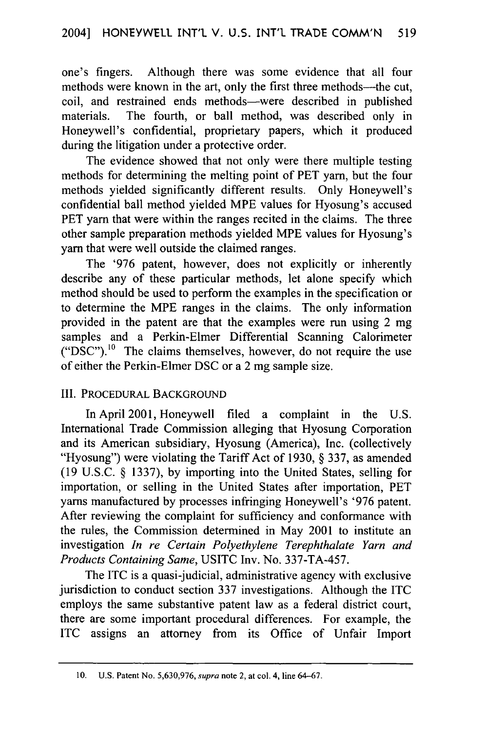one's fingers. Although there was some evidence that all four methods were known in the art, only the first three methods—the cut, coil, and restrained ends methods-were described in published materials. The fourth, or ball method, was described only in Honeywell's confidential, proprietary papers, which it produced during the litigation under a protective order.

The evidence showed that not only were there multiple testing methods for determining the melting point of PET yarn, but the four methods yielded significantly different results. Only Honeywell's confidential ball method yielded MPE values for Hyosung's accused PET yarn that were within the ranges recited in the claims. The three other sample preparation methods yielded MPE values for Hyosung's yarn that were well outside the claimed ranges.

The '976 patent, however, does not explicitly or inherently describe any of these particular methods, let alone specify which method should be used to perform the examples in the specification or to determine the MPE ranges in the claims. The only information provided in the patent are that the examples were run using 2 mg samples and a Perkin-Elmer Differential Scanning Calorimeter  $("DSC")$ .<sup>10</sup> The claims themselves, however, do not require the use of either the Perkin-Elmer DSC or a 2 mg sample size.

#### III. PROCEDURAL BACKGROUND

In April 2001, Honeywell filed a complaint in the U.S. International Trade Commission alleging that Hyosung Corporation and its American subsidiary, Hyosung (America), Inc. (collectively "Hyosung") were violating the Tariff Act of 1930, § 337, as amended (19 U.S.C. § 1337), by importing into the United States, selling for importation, or selling in the United States after importation, PET yarns manufactured by processes infringing Honeywell's '976 patent. After reviewing the complaint for sufficiency and conformance with the rules, the Commission determined in May 2001 to institute an investigation *In re Certain Polyethylene Terephthalate Yarn and Products Containing Same,* USITC Inv. No. 337-TA-457.

The ITC is a quasi-judicial, administrative agency with exclusive jurisdiction to conduct section 337 investigations. Although the ITC employs the same substantive patent law as a federal district court, there are some important procedural differences. For example, the ITC assigns an attorney from its Office of Unfair Import

<sup>10.</sup> U.S. Patent No. 5,630,976, supra note 2, at col. 4, line 64-67.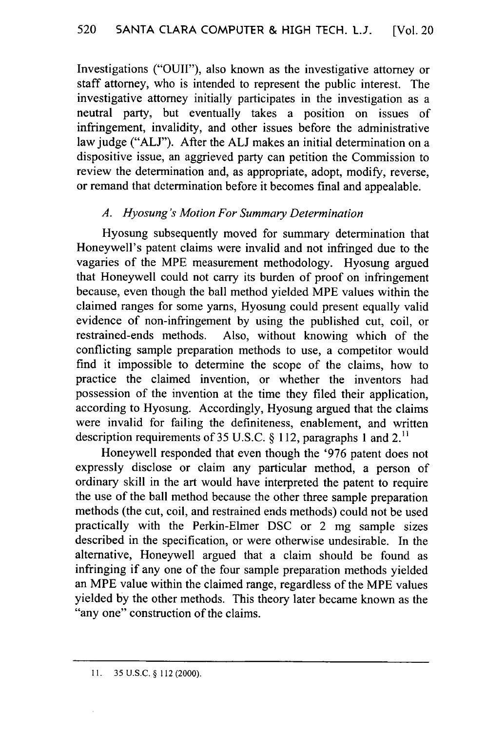Investigations ("OUII"), also known as the investigative attorney or staff attorney, who is intended to represent the public interest. The investigative attorney initially participates in the investigation as a neutral party, but eventually takes a position on issues of infringement, invalidity, and other issues before the administrative law judge ("ALJ"). After the **ALI** makes an initial determination on a dispositive issue, an aggrieved party can petition the Commission to review the determination and, as appropriate, adopt, modify, reverse, or remand that determination before it becomes final and appealable.

# *A. Hyosung's Motion For Summary Determination*

Hyosung subsequently moved for summary determination that Honeywell's patent claims were invalid and not infringed due to the vagaries of the MPE measurement methodology. Hyosung argued that Honeywell could not carry its burden of proof on infringement because, even though the ball method yielded MPE values within the claimed ranges for some yams, Hyosung could present equally valid evidence of non-infringement by using the published cut, coil, or restrained-ends methods. Also, without knowing which of the conflicting sample preparation methods to use, a competitor would find it impossible to determine the scope of the claims, how to practice the claimed invention, or whether the inventors had possession of the invention at the time they filed their application, according to Hyosung. Accordingly, Hyosung argued that the claims were invalid for failing the definiteness, enablement, and written description requirements of 35 U.S.C. § 112, paragraphs 1 and 2.<sup>11</sup>

Honeywell responded that even though the '976 patent does not expressly disclose or claim any particular method, a person of ordinary skill in the art would have interpreted the patent to require the use of the ball method because the other three sample preparation methods (the cut, coil, and restrained ends methods) could not be used practically with the Perkin-Elmer DSC or 2 mg sample sizes described in the specification, or were otherwise undesirable. In the alternative, Honeywell argued that a claim should be found as infringing if any one of the four sample preparation methods yielded an MPE value within the claimed range, regardless of the MPE values yielded by the other methods. This theory later became known as the "any one" construction of the claims.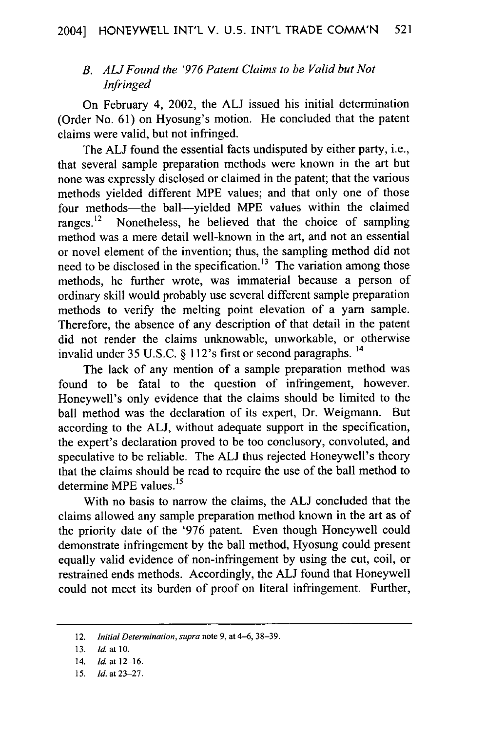# *B. AL! Found the '976 Patent Claims to be Valid but Not Infringed*

On February 4, 2002, the **ALJ** issued his initial determination (Order No. 61) on Hyosung's motion. He concluded that the patent claims were valid, but not infringed.

The **ALJ** found the essential facts undisputed by either party, i.e., that several sample preparation methods were known in the art but none was expressly disclosed or claimed in the patent; that the various methods yielded different MPE values; and that only one of those four methods—the ball—yielded MPE values within the claimed ranges. $^{12}$  Nonetheless, he believed that the choice of sampling Nonetheless, he believed that the choice of sampling method was a mere detail well-known in the art, and not an essential or novel element of the invention; thus, the sampling method did not need to be disclosed in the specification.<sup>13</sup> The variation among those methods, he further wrote, was immaterial because a person of ordinary skill would probably use several different sample preparation methods to verify the melting point elevation of a yarn sample. Therefore, the absence of any description of that detail in the patent did not render the claims unknowable, unworkable, or otherwise invalid under 35 U.S.C. § 112's first or second paragraphs. <sup>14</sup>

The lack of any mention of a sample preparation method was found to be fatal to the question of infringement, however. Honeywell's only evidence that the claims should be limited to the ball method was the declaration of its expert, Dr. Weigmann. But according to the **ALJ,** without adequate support in the specification, the expert's declaration proved to be too conclusory, convoluted, and speculative to be reliable. The **ALJ** thus rejected Honeywell's theory that the claims should be read to require the use of the ball method to determine MPE values.<sup>15</sup>

With no basis to narrow the claims, the **ALJ** concluded that the claims allowed any sample preparation method known in the art as of the priority date of the '976 patent. Even though Honeywell could demonstrate infringement by the ball method, Hyosung could present equally valid evidence of non-infringement by using the cut, coil, or restrained ends methods. Accordingly, the **ALJ** found that Honeywell could not meet its burden of proof on literal infringement. Further,

<sup>12.</sup> *Initial Determination, supra* note 9, at 4-6, 38-39.

<sup>13.</sup> *Id.* at 10.

<sup>14.</sup> *Id.* at **12-16.**

*<sup>15.</sup> Id.* at 23-27.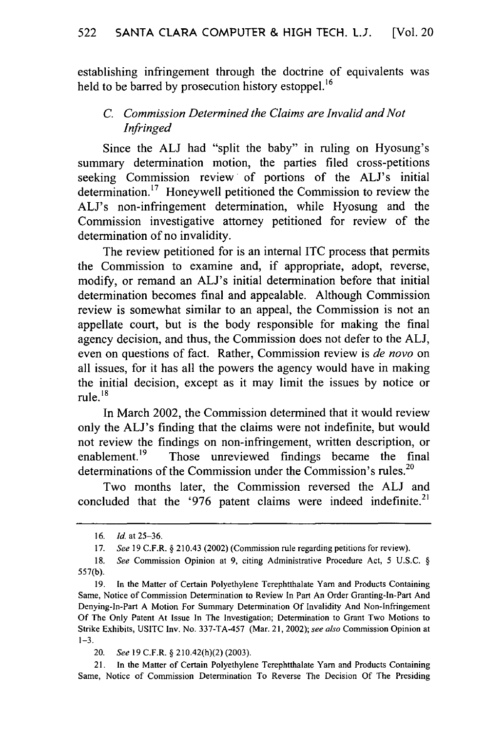establishing infringement through the doctrine of equivalents was held to be barred by prosecution history estoppel.<sup>16</sup>

# *C. Commission Determined the Claims are Invalid and Not Infringed*

Since the **ALI** had "split the baby" in ruling on Hyosung's summary determination motion, the parties filed cross-petitions seeking Commission review of portions of the ALJ's initial determination.<sup>17</sup> Honeywell petitioned the Commission to review the ALJ's non-infringement determination, while Hyosung and the Commission investigative attorney petitioned for review of the determination of no invalidity.

The review petitioned for is an internal ITC process that permits the Commission to examine and, if appropriate, adopt, reverse, modify, or remand an ALJ's initial determination before that initial determination becomes final and appealable. Although Commission review is somewhat similar to an appeal, the Commission is not an appellate court, but is the body responsible for making the final agency decision, and thus, the Commission does not defer to the **ALJ,** even on questions of fact. Rather, Commission review is *de novo* on all issues, for it has all the powers the agency would have in making the initial decision, except as it may limit the issues by notice or rule. $^{18}$ 

In March 2002, the Commission determined that it would review only the AL's finding that the claims were not indefinite, but would not review the findings on non-infringement, written description, or enablement.<sup>19</sup> Those unreviewed findings became the final determinations of the Commission under the Commission's rules.<sup>20</sup>

Two months later, the Commission reversed the **ALJ** and concluded that the '976 patent claims were indeed indefinite.<sup>21</sup>

21. In the Matter of Certain Polyethylene Terephtthalate Yam and Products Containing Same, Notice of Commission Determination To Reverse The Decision Of The Presiding

<sup>16.</sup> *Id.* at 25-36.

<sup>17.</sup> *See* 19 C.F.R. § 210.43 (2002) (Commission rule regarding petitions for review).

<sup>18.</sup> *See* Commission Opinion at 9, citing Administrative Procedure Act, 5 U.S.C. § 557(b).

<sup>19.</sup> In the Matter of Certain Polyethylene Terephtthalate Yam and Products Containing Same, Notice of Commission Determination to Review In Part An Order Granting-In-Part And Denying-In-Part A Motion For Summary Determination Of Invalidity And Non-Infringement Of The Only Patent At Issue In The Investigation; Determination to Grant Two Motions to Strike Exhibits, USITC Inv. No. 337-TA-457 (Mar. 21, 2002); see also Commission Opinion at  $1 - 3$ .

<sup>20.</sup> *See* 19 C.F.R. § 210.42(h)(2) (2003).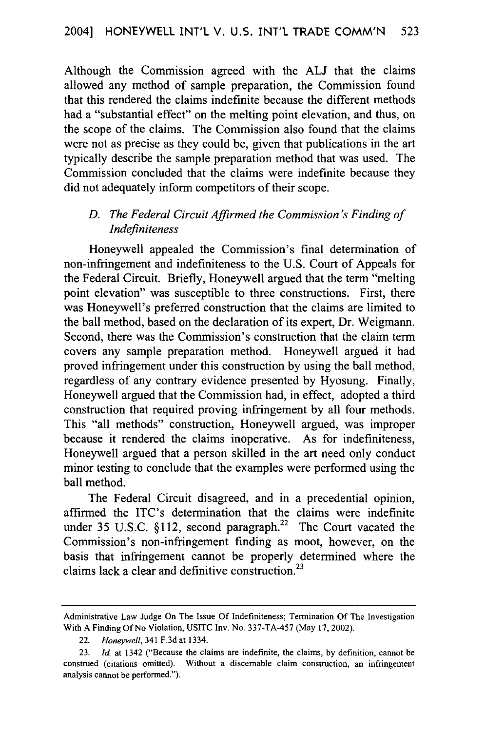Although the Commission agreed with the **ALJ** that the claims allowed any method of sample preparation, the Commission found that this rendered the claims indefinite because the different methods had a "substantial effect" on the melting point elevation, and thus, on the scope of the claims. The Commission also found that the claims were not as precise as they could be, given that publications in the art typically describe the sample preparation method that was used. The Commission concluded that the claims were indefinite because they did not adequately inform competitors of their scope.

#### *D. The Federal Circuit Affirmed the Commission's Finding of Indefiniteness*

Honeywell appealed the Commission's final determination of non-infringement and indefiniteness to the U.S. Court of Appeals for the Federal Circuit. Briefly, Honeywell argued that the term "melting point elevation" was susceptible to three constructions. First, there was Honeywell's preferred construction that the claims are limited to the ball method, based on the declaration of its expert, Dr. Weigmann. Second, there was the Commission's construction that the claim term covers any sample preparation method. Honeywell argued it had proved infringement under this construction by using the ball method, regardless of any contrary evidence presented by Hyosung. Finally, Honeywell argued that the Commission had, in effect, adopted a third construction that required proving infringement by all four methods. This "all methods" construction, Honeywell argued, was improper because it rendered the claims inoperative. As for indefiniteness, Honeywell argued that a person skilled in the art need only conduct minor testing to conclude that the examples were performed using the ball method.

The Federal Circuit disagreed, and in a precedential opinion, affirmed the ITC's determination that the claims were indefinite under 35 U.S.C. §112, second paragraph.<sup>22</sup> The Court vacated the Commission's non-infringement finding as moot, however, on the basis that infringement cannot be properly determined where the claims lack a clear and definitive construction.<sup>23</sup>

Administrative Law Judge On The Issue Of Indefiniteness; Termination Of The Investigation With A Finding Of No Violation, USITC Inv. No. 337-TA-457 (May 17, 2002).

<sup>22.</sup> *Honeywell,* 341 F.3d at 1334.

<sup>23.</sup> *Id.* at 1342 ("Because the claims are indefinite, the claims, by definition, cannot be construed (citations omitted). Without a discemable claim construction, an infringement analysis cannot be performed.").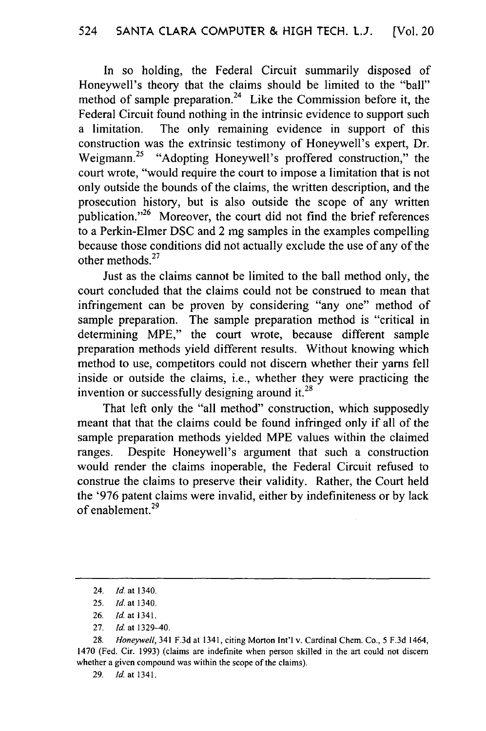In so holding, the Federal Circuit summarily disposed of Honeywell's theory that the claims should be limited to the "ball" method of sample preparation.<sup>24</sup> Like the Commission before it, the Federal Circuit found nothing in the intrinsic evidence to support such a limitation. The only remaining evidence in support of this construction was the extrinsic testimony of Honeywell's expert, Dr. Weigmann.<sup>25</sup> "Adopting Honeywell's proffered construction," the court wrote, "would require the court to impose a limitation that is not only outside the bounds of the claims, the written description, and the prosecution history, but is also outside the scope of any written publication."<sup>26</sup> Moreover, the court did not find the brief references to a Perkin-Elmer DSC and 2 mg samples in the examples compelling because those conditions did not actually exclude the use of any of the other methods. $27$ 

Just as the claims cannot be limited to the ball method only, the court concluded that the claims could not be construed to mean that infringement can be proven by considering "any one" method of sample preparation. The sample preparation method is "critical in determining MPE," the court wrote, because different sample preparation methods yield different results. Without knowing which method to use, competitors could not discern whether their yams fell inside or outside the claims, i.e., whether they were practicing the invention or successfully designing around it.<sup>28</sup>

That left only the "all method" construction, which supposedly meant that that the claims could be found infringed only if all of the sample preparation methods yielded MPE values within the claimed ranges. Despite Honeywell's argument that such a construction would render the claims inoperable, the Federal Circuit refused to construe the claims to preserve their validity. Rather, the Court held the '976 patent claims were invalid, either by indefiniteness or by lack of enablement.<sup>29</sup>

27. **Id.** at 1329-40.

28. Honeywell, 341 F.3d at 1341, citing Morton Int'l v. Cardinal Chem. Co., 5 F.3d 1464, 1470 (Fed. Cir. 1993) (claims are indefinite when person skilled in the art could not discern whether a given compound was within the scope of the claims).

<sup>24.</sup> *Id.* at 1340.

<sup>25.</sup> Id. *at* 1340.

<sup>26.</sup> Id. at 1341.

<sup>29.</sup> *Id.* at 1341.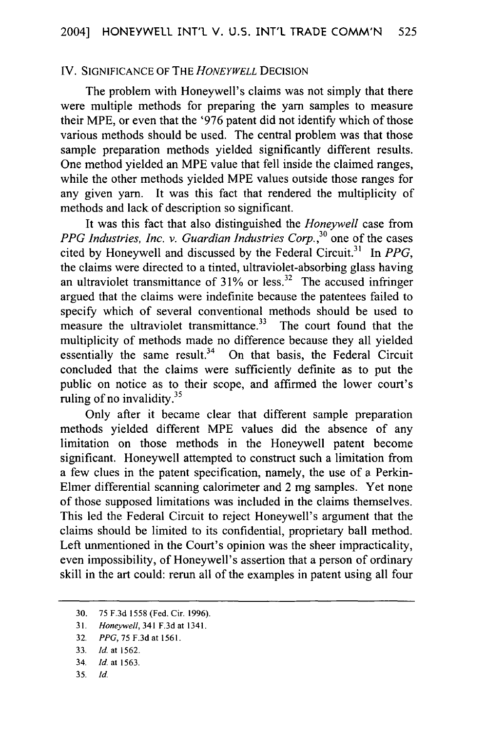#### IV. SIGNIFICANCE OF THE *HONEYWELL* DECISION

The problem with Honeywell's claims was not simply that there were multiple methods for preparing the yam samples to measure their MPE, or even that the '976 patent did not identify which of those various methods should be used. The central problem was that those sample preparation methods yielded significantly different results. One method yielded an MPE value that fell inside the claimed ranges, while the other methods yielded MPE values outside those ranges for any given yam. It was this fact that rendered the multiplicity of methods and lack of description so significant.

It was this fact that also distinguished the *Honeywell* case from *PPG Industries, Inc. v. Guardian Industries Corp.,3°* one of the cases cited by Honeywell and discussed by the Federal Circuit.<sup>31</sup> In *PPG*, the claims were directed to a tinted, ultraviolet-absorbing glass having an ultraviolet transmittance of  $31\%$  or less.<sup>32</sup> The accused infringer argued that the claims were indefinite because the patentees failed to specify which of several conventional methods should be used to measure the ultraviolet transmittance.<sup>33</sup> The court found that the multiplicity of methods made no difference because they all yielded essentially the same result.<sup>34</sup> On that basis, the Federal Circuit concluded that the claims were sufficiently definite as to put the public on notice as to their scope, and affirmed the lower court's ruling of no invalidity. $3<sup>5</sup>$ 

Only after it became clear that different sample preparation methods yielded different MPE values did the absence of any limitation on those methods in the Honeywell patent become significant. Honeywell attempted to construct such a limitation from a few clues in the patent specification, namely, the use of a Perkin-Elmer differential scanning calorimeter and 2 mg samples. Yet none of those supposed limitations was included in the claims themselves. This led the Federal Circuit to reject Honeywell's argument that the claims should be limited to its confidential, proprietary ball method. Left unmentioned in the Court's opinion was the sheer impracticality, even impossibility, of Honeywell's assertion that a person of ordinary skill in the art could: rerun all of the examples in patent using all four

35. *Id.*

<sup>30. 75</sup> F.3d 1558 (Fed. Cir. 1996).

<sup>31.</sup> *Honeywell,* 341 F.3d at 1341.

<sup>32.</sup> *PPG,* 75 F.3d at 1561.

<sup>33.</sup> *Id.* at 1562.

<sup>34.</sup> *Id.* at 1563.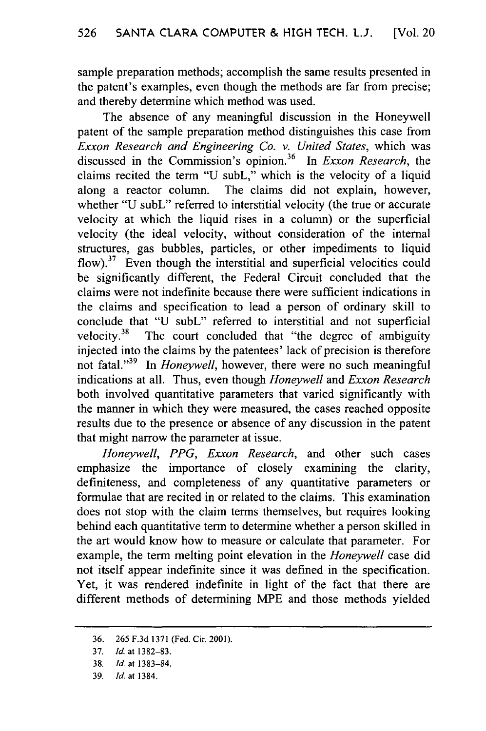sample preparation methods; accomplish the same results presented in the patent's examples, even though the methods are far from precise; and thereby determine which method was used.

The absence of any meaningful discussion in the Honeywell patent of the sample preparation method distinguishes this case from *Exxon Research and Engineering Co. v. United States,* which was discussed in the Commission's opinion.36 In *Exxon Research,* the claims recited the term "U subL," which is the velocity of a liquid along a reactor column. The claims did not explain, however, whether "U subL" referred to interstitial velocity (the true or accurate velocity at which the liquid rises in a column) or the superficial velocity (the ideal velocity, without consideration of the internal structures, gas bubbles, particles, or other impediments to liquid flow).<sup>37</sup> Even though the interstitial and superficial velocities could be significantly different, the Federal Circuit concluded that the claims were not indefinite because there were sufficient indications in the claims and specification to lead a person of ordinary skill to conclude that "U subL" referred to interstitial and not superficial velocity. $38$  The court concluded that "the degree of ambiguity injected into the claims by the patentees' lack of precision is therefore not fatal."39 In *Honeywell,* however, there were no such meaningful indications at all. Thus, even though *Honeywell* and *Exxon Research* both involved quantitative parameters that varied significantly with the manner in which they were measured, the cases reached opposite results due to the presence or absence of any discussion in the patent that might narrow the parameter at issue.

*Honeywell, PPG, Exxon Research,* and other such cases emphasize the importance of closely examining the clarity, definiteness, and completeness of any quantitative parameters or formulae that are recited in or related to the claims. This examination does not stop with the claim terms themselves, but requires looking behind each quantitative term to determine whether a person skilled in the art would know how to measure or calculate that parameter. For example, the term melting point elevation in the *Honeywell* case did not itself appear indefinite since it was defined in the specification. Yet, it was rendered indefinite in light of the fact that there are different methods of determining MPE and those methods yielded

<sup>36. 265</sup> F.3d 1371 (Fed. Cir. 2001).

<sup>37.</sup> Id. at 1382-83.

<sup>38.</sup> *Id.* at 1383-84.

<sup>39.</sup> *Id.* at 1384.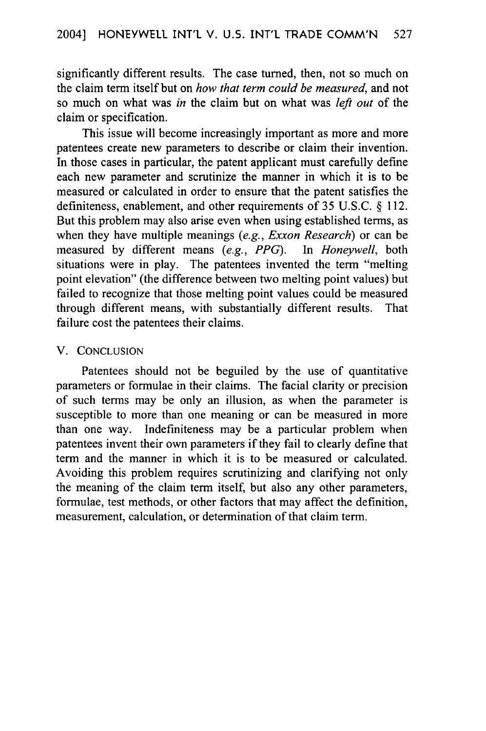significantly different results. The case turned, then, not so much on the claim term itself but on *how that term could be measured,* and not so much on what was *in* the claim but on what was *left out* of the claim or specification.

This issue will become increasingly important as more and more patentees create new parameters to describe or claim their invention. In those cases in particular, the patent applicant must carefully define each new parameter and scrutinize the manner in which it is to be measured or calculated in order to ensure that the patent satisfies the definiteness, enablement, and other requirements of 35 U.S.C. § 112. But this problem may also arise even when using established terms, as when they have multiple meanings *(e.g., Exxon Research)* or can be measured by different means *(e.g., PPG).* In *Honeywell,* both situations were in play. The patentees invented the term "melting point elevation" (the difference between two melting point values) but failed to recognize that those melting point values could be measured through different means, with substantially different results. That failure cost the patentees their claims.

#### V. CONCLUSION

Patentees should not be beguiled by the use of quantitative parameters or formulae in their claims. The facial clarity or precision of such terms may be only an illusion, as when the parameter is susceptible to more than one meaning or can be measured in more than one way. Indefiniteness may be a particular problem when patentees invent their own parameters if they fail to clearly define that term and the manner in which it is to be measured or calculated. Avoiding this problem requires scrutinizing and clarifying not only the meaning of the claim term itself, but also any other parameters, formulae, test methods, or other factors that may affect the definition, measurement, calculation, or determination of that claim term.